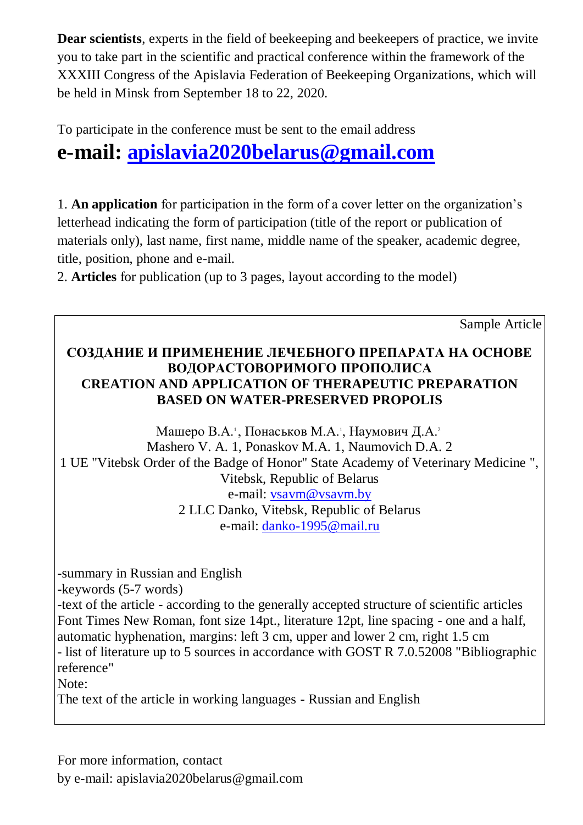**Dear scientists**, experts in the field of beekeeping and beekeepers of practice, we invite you to take part in the scientific and practical conference within the framework of the XXXIII Congress of the Apislavia Federation of Beekeeping Organizations, which will be held in Minsk from September 18 to 22, 2020.

To participate in the conference must be sent to the email address

## **e-mail: [apislavia2020belarus@gmail.com](mailto:apislavia2020belarus@gmail.com)**

1. **An application** for participation in the form of a cover letter on the organization's letterhead indicating the form of participation (title of the report or publication of materials only), last name, first name, middle name of the speaker, academic degree, title, position, phone and e-mail.

2. **Articles** for publication (up to 3 pages, layout according to the model)

Sample Article

## **СОЗДАНИЕ И ПРИМЕНЕНИЕ ЛЕЧЕБНОГО ПРЕПАРАТА НА ОСНОВЕ ВОДОРАСТОВОРИМОГО ПРОПОЛИСА CREATION AND APPLICATION OF THERAPEUTIC PREPARATION BASED ON WATER-PRESERVED PROPOLIS**

Машеро В.А.<sup>1</sup>, Понаськов М.А.<sup>1</sup>, Наумович Д.А.<sup>2</sup> Mashero V. A. 1, Ponaskov M.A. 1, Naumovich D.A. 2 1 UE "Vitebsk Order of the Badge of Honor" State Academy of Veterinary Medicine ", Vitebsk, Republic of Belarus e-mail: [vsavm@vsavm.by](mailto:vsavm@vsavm.by) 2 LLC Danko, Vitebsk, Republic of Belarus e-mail: [danko-1995@mail.ru](mailto:danko-1995@mail.ru)

-summary in Russian and English

-keywords (5-7 words)

-text of the article - according to the generally accepted structure of scientific articles Font Times New Roman, font size 14pt., literature 12pt, line spacing - one and a half, automatic hyphenation, margins: left 3 cm, upper and lower 2 cm, right 1.5 cm - list of literature up to 5 sources in accordance with GOST R 7.0.52008 "Bibliographic reference"

Note:

The text of the article in working languages - Russian and English

For more information, contact

by e-mail: apislavia2020belarus@gmail.com